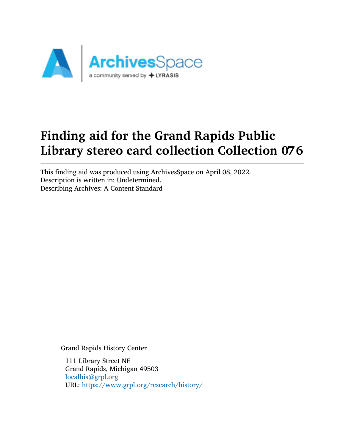

# Finding aid for the Grand Rapids Public Library stereo card collection Collection 076

This finding aid was produced using ArchivesSpace on April 08, 2022. Description is written in: Undetermined. Describing Archives: A Content Standard

Grand Rapids History Center

111 Library Street NE Grand Rapids, Michigan 49503 [localhis@grpl.org](mailto:localhis@grpl.org) URL: <https://www.grpl.org/research/history/>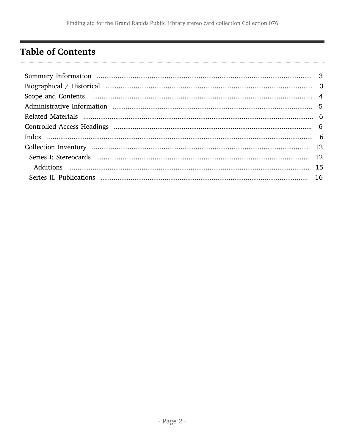# <span id="page-1-0"></span>**Table of Contents**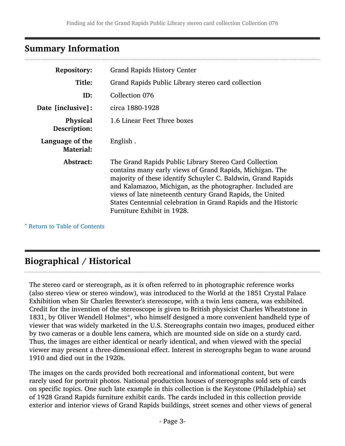### <span id="page-2-0"></span>Summary Information

| <b>Repository:</b>                  | <b>Grand Rapids History Center</b>                                                                                                                                                                                                                                                                                                                                                                            |  |
|-------------------------------------|---------------------------------------------------------------------------------------------------------------------------------------------------------------------------------------------------------------------------------------------------------------------------------------------------------------------------------------------------------------------------------------------------------------|--|
| Title:                              | Grand Rapids Public Library stereo card collection                                                                                                                                                                                                                                                                                                                                                            |  |
| ID:                                 | Collection 076                                                                                                                                                                                                                                                                                                                                                                                                |  |
| Date [inclusive]:                   | circa 1880-1928                                                                                                                                                                                                                                                                                                                                                                                               |  |
| Physical<br>Description:            | 1.6 Linear Feet Three boxes                                                                                                                                                                                                                                                                                                                                                                                   |  |
| Language of the<br><b>Material:</b> | English.                                                                                                                                                                                                                                                                                                                                                                                                      |  |
| Abstract:                           | The Grand Rapids Public Library Stereo Card Collection<br>contains many early views of Grand Rapids, Michigan. The<br>majority of these identify Schuyler C. Baldwin, Grand Rapids<br>and Kalamazoo, Michigan, as the photographer. Included are<br>views of late nineteenth century Grand Rapids, the United<br>States Centennial celebration in Grand Rapids and the Historic<br>Furniture Exhibit in 1928. |  |

^ [Return to Table of Contents](#page-1-0)

# <span id="page-2-1"></span>Biographical / Historical

The stereo card or stereograph, as it is often referred to in photographic reference works (also stereo view or stereo window), was introduced to the World at the 1851 Crystal Palace Exhibition when Sir Charles Brewster's stereoscope, with a twin lens camera, was exhibited. Credit for the invention of the stereoscope is given to British physicist Charles Wheatstone in 1831, by Oliver Wendell Holmes\*, who himself designed a more convenient handheld type of viewer that was widely marketed in the U.S. Stereographs contain two images, produced either by two cameras or a double lens camera, which are mounted side on side on a sturdy card. Thus, the images are either identical or nearly identical, and when viewed with the special viewer may present a three-dimensional effect. Interest in stereographs began to wane around 1910 and died out in the 1920s.

The images on the cards provided both recreational and informational content, but were rarely used for portrait photos. National production houses of stereographs sold sets of cards on specific topics. One such late example in this collection is the Keystone (Philadelphia) set of 1928 Grand Rapids furniture exhibit cards. The cards included in this collection provide exterior and interior views of Grand Rapids buildings, street scenes and other views of general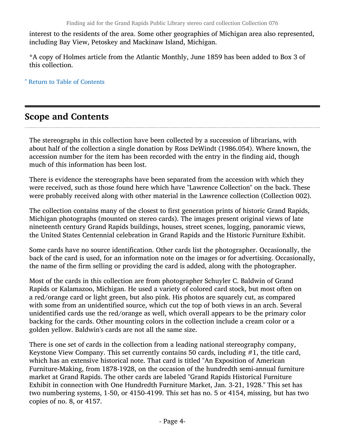interest to the residents of the area. Some other geographies of Michigan area also represented, including Bay View, Petoskey and Mackinaw Island, Michigan.

\*A copy of Holmes article from the Atlantic Monthly, June 1859 has been added to Box 3 of this collection.

^ [Return to Table of Contents](#page-1-0)

# <span id="page-3-0"></span>Scope and Contents

The stereographs in this collection have been collected by a succession of librarians, with about half of the collection a single donation by Ross DeWindt (1986.054). Where known, the accession number for the item has been recorded with the entry in the finding aid, though much of this information has been lost.

There is evidence the stereographs have been separated from the accession with which they were received, such as those found here which have "Lawrence Collection" on the back. These were probably received along with other material in the Lawrence collection (Collection 002).

The collection contains many of the closest to first generation prints of historic Grand Rapids, Michigan photographs (mounted on stereo cards). The images present original views of late nineteenth century Grand Rapids buildings, houses, street scenes, logging, panoramic views, the United States Centennial celebration in Grand Rapids and the Historic Furniture Exhibit.

Some cards have no source identification. Other cards list the photographer. Occasionally, the back of the card is used, for an information note on the images or for advertising. Occasionally, the name of the firm selling or providing the card is added, along with the photographer.

Most of the cards in this collection are from photographer Schuyler C. Baldwin of Grand Rapids or Kalamazoo, Michigan. He used a variety of colored card stock, but most often on a red/orange card or light green, but also pink. His photos are squarely cut, as compared with some from an unidentified source, which cut the top of both views in an arch. Several unidentified cards use the red/orange as well, which overall appears to be the primary color backing for the cards. Other mounting colors in the collection include a cream color or a golden yellow. Baldwin's cards are not all the same size.

There is one set of cards in the collection from a leading national stereography company, Keystone View Company. This set currently contains 50 cards, including #1, the title card, which has an extensive historical note. That card is titled "An Exposition of American Furniture-Making, from 1878-1928, on the occasion of the hundredth semi-annual furniture market at Grand Rapids. The other cards are labeled "Grand Rapids Historical Furniture Exhibit in connection with One Hundredth Furniture Market, Jan. 3-21, 1928." This set has two numbering systems, 1-50, or 4150-4199. This set has no. 5 or 4154, missing, but has two copies of no. 8, or 4157.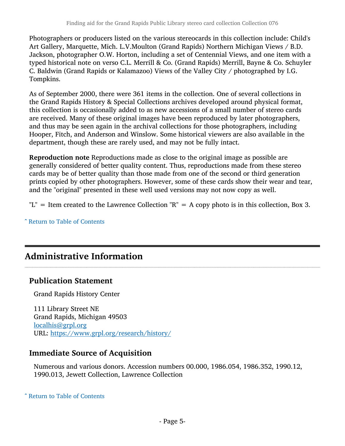Photographers or producers listed on the various stereocards in this collection include: Child's Art Gallery, Marquette, Mich. L.V.Moulton (Grand Rapids) Northern Michigan Views / B.D. Jackson, photographer O.W. Horton, including a set of Centennial Views, and one item with a typed historical note on verso C.L. Merrill & Co. (Grand Rapids) Merrill, Bayne & Co. Schuyler C. Baldwin (Grand Rapids or Kalamazoo) Views of the Valley City / photographed by I.G. Tompkins.

As of September 2000, there were 361 items in the collection. One of several collections in the Grand Rapids History & Special Collections archives developed around physical format, this collection is occasionally added to as new accessions of a small number of stereo cards are received. Many of these original images have been reproduced by later photographers, and thus may be seen again in the archival collections for those photographers, including Hooper, Fitch, and Anderson and Winslow. Some historical viewers are also available in the department, though these are rarely used, and may not be fully intact.

Reproduction note Reproductions made as close to the original image as possible are generally considered of better quality content. Thus, reproductions made from these stereo cards may be of better quality than those made from one of the second or third generation prints copied by other photographers. However, some of these cards show their wear and tear, and the "original" presented in these well used versions may not now copy as well.

"L" = Item created to the Lawrence Collection "R" = A copy photo is in this collection, Box 3.

#### ^ [Return to Table of Contents](#page-1-0)

# <span id="page-4-0"></span>Administrative Information

#### Publication Statement

Grand Rapids History Center

111 Library Street NE Grand Rapids, Michigan 49503 [localhis@grpl.org](mailto:localhis@grpl.org) URL: <https://www.grpl.org/research/history/>

#### Immediate Source of Acquisition

Numerous and various donors. Accession numbers 00.000, 1986.054, 1986.352, 1990.12, 1990.013, Jewett Collection, Lawrence Collection

^ [Return to Table of Contents](#page-1-0)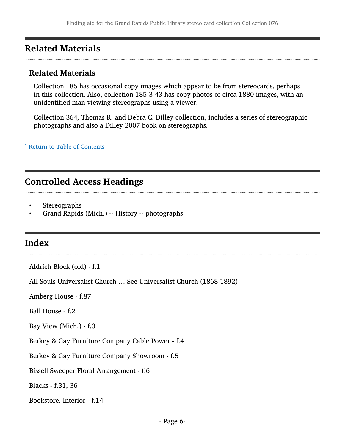### <span id="page-5-0"></span>Related Materials

#### Related Materials

Collection 185 has occasional copy images which appear to be from stereocards, perhaps in this collection. Also, collection 185-3-43 has copy photos of circa 1880 images, with an unidentified man viewing stereographs using a viewer.

Collection 364, Thomas R. and Debra C. Dilley collection, includes a series of stereographic photographs and also a Dilley 2007 book on stereographs.

#### ^ [Return to Table of Contents](#page-1-0)

## <span id="page-5-1"></span>Controlled Access Headings

- **Stereographs**
- Grand Rapids (Mich.) -- History -- photographs

### <span id="page-5-2"></span>Index

Aldrich Block (old) - f.1

All Souls Universalist Church … See Universalist Church (1868-1892)

Amberg House - f.87

Ball House - f.2

Bay View (Mich.) - f.3

Berkey & Gay Furniture Company Cable Power - f.4

Berkey & Gay Furniture Company Showroom - f.5

Bissell Sweeper Floral Arrangement - f.6

Blacks - f.31, 36

Bookstore. Interior - f.14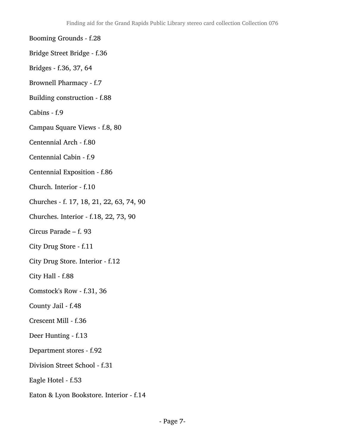Booming Grounds - f.28

- Bridge Street Bridge f.36
- Bridges f.36, 37, 64
- Brownell Pharmacy f.7
- Building construction f.88
- Cabins f.9
- Campau Square Views f.8, 80
- Centennial Arch f.80
- Centennial Cabin f.9
- Centennial Exposition f.86
- Church. Interior f.10
- Churches f. 17, 18, 21, 22, 63, 74, 90
- Churches. Interior f.18, 22, 73, 90
- Circus Parade f. 93
- City Drug Store f.11
- City Drug Store. Interior f.12
- City Hall f.88
- Comstock's Row f.31, 36
- County Jail f.48
- Crescent Mill f.36
- Deer Hunting f.13
- Department stores f.92
- Division Street School f.31
- Eagle Hotel f.53
- Eaton & Lyon Bookstore. Interior f.14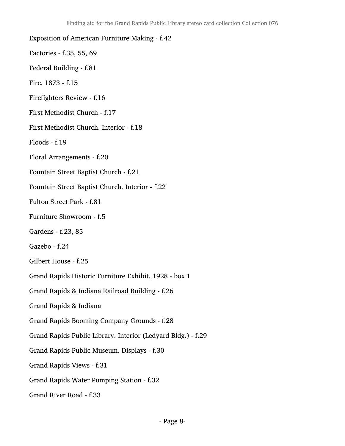Exposition of American Furniture Making - f.42 Factories - f.35, 55, 69 Federal Building - f.81 Fire. 1873 - f.15 Firefighters Review - f.16 First Methodist Church - f.17 First Methodist Church. Interior - f.18 Floods - f.19 Floral Arrangements - f.20 Fountain Street Baptist Church - f.21 Fountain Street Baptist Church. Interior - f.22 Fulton Street Park - f.81 Furniture Showroom - f.5 Gardens - f.23, 85 Gazebo - f.24 Gilbert House - f.25 Grand Rapids Historic Furniture Exhibit, 1928 - box 1 Grand Rapids & Indiana Railroad Building - f.26 Grand Rapids & Indiana Grand Rapids Booming Company Grounds - f.28 Grand Rapids Public Library. Interior (Ledyard Bldg.) - f.29 Grand Rapids Public Museum. Displays - f.30 Grand Rapids Views - f.31 Grand Rapids Water Pumping Station - f.32 Grand River Road - f.33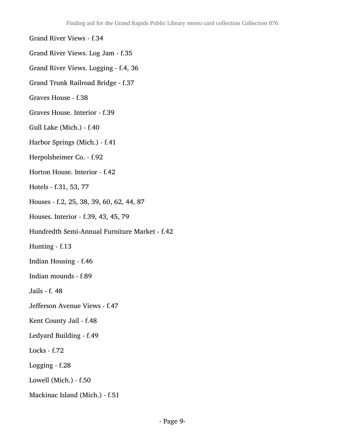#### Grand River Views - f.34

- Grand River Views. Log Jam f.35
- Grand River Views. Logging f.4, 36
- Grand Trunk Railroad Bridge f.37
- Graves House f.38
- Graves House. Interior f.39
- Gull Lake (Mich.) f.40
- Harbor Springs (Mich.) f.41
- Herpolsheimer Co. f.92
- Horton House. Interior f.42
- Hotels f.31, 53, 77
- Houses f.2, 25, 38, 39, 60, 62, 44, 87
- Houses. Interior f.39, 43, 45, 79
- Hundredth Semi-Annual Furniture Market f.42
- Hunting f.13
- Indian Housing f.46
- Indian mounds f.89
- Jails f. 48
- Jefferson Avenue Views f.47
- Kent County Jail f.48
- Ledyard Building f.49
- Locks f.72
- Logging f.28
- Lowell (Mich.) f.50
- Mackinac Island (Mich.) f.51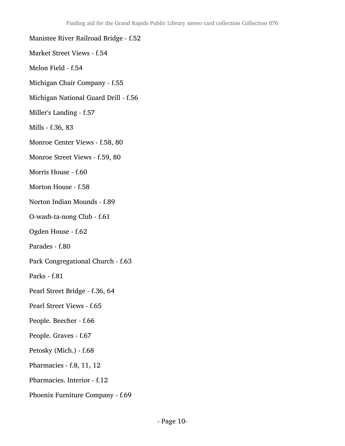- Manistee River Railroad Bridge f.52
- Market Street Views f.54
- Melon Field f.54
- Michigan Chair Company f.55
- Michigan National Guard Drill f.56
- Miller's Landing f.57
- Mills f.36, 83
- Monroe Center Views f.58, 80
- Monroe Street Views f.59, 80
- Morris House f.60
- Morton House f.58
- Norton Indian Mounds f.89
- O-wash-ta-nong Club f.61
- Ogden House f.62
- Parades f.80
- Park Congregational Church f.63
- Parks f.81
- Pearl Street Bridge f.36, 64
- Pearl Street Views f.65
- People. Beecher f.66
- People. Graves f.67
- Petosky (Mich.) f.68
- Pharmacies f.8, 11, 12
- Pharmacies. Interior f.12
- Phoenix Furniture Company f.69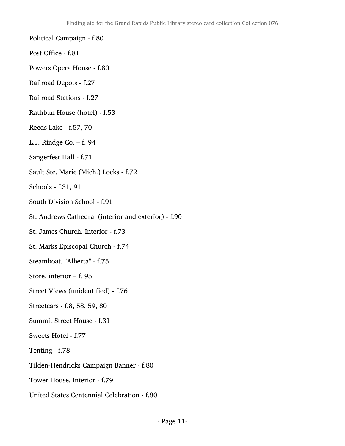- Political Campaign f.80
- Post Office f.81
- Powers Opera House f.80
- Railroad Depots f.27
- Railroad Stations f.27
- Rathbun House (hotel) f.53
- Reeds Lake f.57, 70
- L.J. Rindge Co. f. 94
- Sangerfest Hall f.71
- Sault Ste. Marie (Mich.) Locks f.72
- Schools f.31, 91
- South Division School f.91
- St. Andrews Cathedral (interior and exterior) f.90
- St. James Church. Interior f.73
- St. Marks Episcopal Church f.74
- Steamboat. "Alberta" f.75
- Store, interior f. 95
- Street Views (unidentified) f.76
- Streetcars f.8, 58, 59, 80
- Summit Street House f.31
- Sweets Hotel f.77
- Tenting f.78
- Tilden-Hendricks Campaign Banner f.80
- Tower House. Interior f.79
- United States Centennial Celebration f.80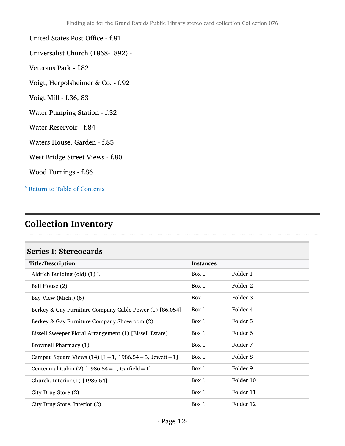#### United States Post Office - f.81

- Universalist Church (1868-1892) -
- Veterans Park f.82
- Voigt, Herpolsheimer & Co. f.92
- Voigt Mill f.36, 83
- Water Pumping Station f.32
- Water Reservoir f.84
- Waters House. Garden f.85
- West Bridge Street Views f.80
- Wood Turnings f.86

^ [Return to Table of Contents](#page-1-0)

# <span id="page-11-0"></span>Collection Inventory

#### <span id="page-11-1"></span>Series I: Stereocards

| Title/Description                                           | <b>Instances</b> |           |
|-------------------------------------------------------------|------------------|-----------|
| Aldrich Building (old) (1) L                                | Box 1            | Folder 1  |
| Ball House (2)                                              | Box 1            | Folder 2  |
| Bay View (Mich.) (6)                                        | Box 1            | Folder 3  |
| Berkey & Gay Furniture Company Cable Power (1) [86.054]     | Box 1            | Folder 4  |
| Berkey & Gay Furniture Company Showroom (2)                 | Box 1            | Folder 5  |
| Bissell Sweeper Floral Arrangement (1) [Bissell Estate]     | Box 1            | Folder 6  |
| Brownell Pharmacy (1)                                       | Box 1            | Folder 7  |
| Campau Square Views (14) $[L = 1, 1986.54 = 5,$ Jewett = 1] | Box 1            | Folder 8  |
| Centennial Cabin (2) $[1986.54 = 1, \text{Garfield} = 1]$   | Box 1            | Folder 9  |
| Church. Interior (1) [1986.54]                              | Box 1            | Folder 10 |
| City Drug Store (2)                                         | Box 1            | Folder 11 |
| City Drug Store. Interior (2)                               | Box 1            | Folder 12 |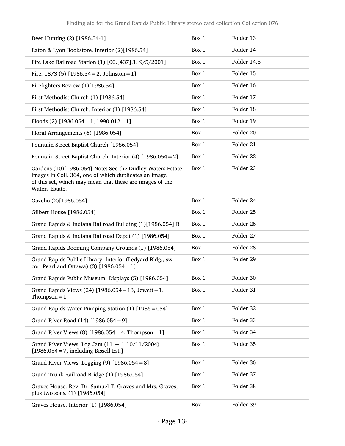| Deer Hunting (2) [1986.54-1]                                                                                                                                                                     | Box 1 | Folder 13   |
|--------------------------------------------------------------------------------------------------------------------------------------------------------------------------------------------------|-------|-------------|
| Eaton & Lyon Bookstore. Interior (2)[1986.54]                                                                                                                                                    | Box 1 | Folder 14   |
| Fife Lake Railroad Station (1) [00.[437].1, 9/5/2001]                                                                                                                                            | Box 1 | Folder 14.5 |
| Fire. 1873 (5) $[1986.54 = 2, \text{ Johnston} = 1]$                                                                                                                                             | Box 1 | Folder 15   |
| Firefighters Review (1)[1986.54]                                                                                                                                                                 | Box 1 | Folder 16   |
| First Methodist Church (1) [1986.54]                                                                                                                                                             | Box 1 | Folder 17   |
| First Methodist Church. Interior (1) [1986.54]                                                                                                                                                   | Box 1 | Folder 18   |
| Floods (2) $[1986.054 = 1, 1990.012 = 1]$                                                                                                                                                        | Box 1 | Folder 19   |
| Floral Arrangements (6) [1986.054]                                                                                                                                                               | Box 1 | Folder 20   |
| Fountain Street Baptist Church [1986.054]                                                                                                                                                        | Box 1 | Folder 21   |
| Fountain Street Baptist Church. Interior (4) [1986.054 = 2]                                                                                                                                      | Box 1 | Folder 22   |
| Gardens (10)[1986.054] Note: See the Dudley Waters Estate<br>images in Coll. 364, one of which duplicates an image<br>of this set, which may mean that these are images of the<br>Waters Estate. | Box 1 | Folder 23   |
| Gazebo (2)[1986.054]                                                                                                                                                                             | Box 1 | Folder 24   |
| Gilbert House [1986.054]                                                                                                                                                                         | Box 1 | Folder 25   |
| Grand Rapids & Indiana Railroad Building (1)[1986.054] R                                                                                                                                         | Box 1 | Folder 26   |
| Grand Rapids & Indiana Railroad Depot (1) [1986.054]                                                                                                                                             | Box 1 | Folder 27   |
| Grand Rapids Booming Company Grounds (1) [1986.054]                                                                                                                                              | Box 1 | Folder 28   |
| Grand Rapids Public Library. Interior (Ledyard Bldg., sw<br>cor. Pearl and Ottawa) (3) $[1986.054 = 1]$                                                                                          | Box 1 | Folder 29   |
| Grand Rapids Public Museum. Displays (5) [1986.054]                                                                                                                                              | Box 1 | Folder 30   |
| Grand Rapids Views (24) [1986.054 = 13, Jewett = 1,<br>Thompson = $1$                                                                                                                            | Box 1 | Folder 31   |
| Grand Rapids Water Pumping Station (1) [1986 = 054]                                                                                                                                              | Box 1 | Folder 32   |
| Grand River Road (14) [1986.054 = 9]                                                                                                                                                             | Box 1 | Folder 33   |
| Grand River Views (8) $[1986.054 = 4, Thompson = 1]$                                                                                                                                             | Box 1 | Folder 34   |
| Grand River Views. Log Jam $(11 + 110/11/2004)$<br>$[1986.054 = 7,$ including Bissell Est.]                                                                                                      | Box 1 | Folder 35   |
| Grand River Views. Logging $(9)$ [1986.054 = 8]                                                                                                                                                  | Box 1 | Folder 36   |
| Grand Trunk Railroad Bridge (1) [1986.054]                                                                                                                                                       | Box 1 | Folder 37   |
| Graves House. Rev. Dr. Samuel T. Graves and Mrs. Graves,<br>plus two sons. (1) [1986.054]                                                                                                        | Box 1 | Folder 38   |
| Graves House. Interior (1) [1986.054]                                                                                                                                                            | Box 1 | Folder 39   |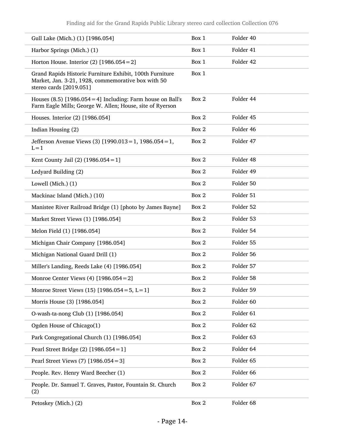| Gull Lake (Mich.) (1) [1986.054]                                                                                                          | Box 1 | Folder 40 |
|-------------------------------------------------------------------------------------------------------------------------------------------|-------|-----------|
| Harbor Springs (Mich.) (1)                                                                                                                | Box 1 | Folder 41 |
| Horton House. Interior $(2)$ [1986.054 = 2]                                                                                               | Box 1 | Folder 42 |
| Grand Rapids Historic Furniture Exhibit, 100th Furniture<br>Market, Jan. 3-21, 1928, commemorative box with 50<br>stereo cards [2019.051] | Box 1 |           |
| Houses $(8.5)$ [1986.054 = 4] Including: Farm house on Ball's<br>Farm Eagle Mills; George W. Allen; House, site of Ryerson                | Box 2 | Folder 44 |
| Houses. Interior (2) [1986.054]                                                                                                           | Box 2 | Folder 45 |
| Indian Housing (2)                                                                                                                        | Box 2 | Folder 46 |
| Jefferson Avenue Views (3) $[1990.013 = 1, 1986.054 = 1,$<br>$L = 1$                                                                      | Box 2 | Folder 47 |
| Kent County Jail (2) $(1986.054 = 1)$                                                                                                     | Box 2 | Folder 48 |
| Ledyard Building (2)                                                                                                                      | Box 2 | Folder 49 |
| Lowell (Mich.) (1)                                                                                                                        | Box 2 | Folder 50 |
| Mackinac Island (Mich.) (10)                                                                                                              | Box 2 | Folder 51 |
| Manistee River Railroad Bridge (1) [photo by James Bayne]                                                                                 | Box 2 | Folder 52 |
| Market Street Views (1) [1986.054]                                                                                                        | Box 2 | Folder 53 |
| Melon Field (1) [1986.054]                                                                                                                | Box 2 | Folder 54 |
| Michigan Chair Company [1986.054]                                                                                                         | Box 2 | Folder 55 |
| Michigan National Guard Drill (1)                                                                                                         | Box 2 | Folder 56 |
| Miller's Landing, Reeds Lake (4) [1986.054]                                                                                               | Box 2 | Folder 57 |
| Monroe Center Views (4) $[1986.054 = 2]$                                                                                                  | Box 2 | Folder 58 |
| Monroe Street Views (15) $[1986.054 = 5, L = 1]$                                                                                          | Box 2 | Folder 59 |
| Morris House (3) [1986.054]                                                                                                               | Box 2 | Folder 60 |
| O-wash-ta-nong Club (1) [1986.054]                                                                                                        | Box 2 | Folder 61 |
| Ogden House of Chicago(1)                                                                                                                 | Box 2 | Folder 62 |
| Park Congregational Church (1) [1986.054]                                                                                                 | Box 2 | Folder 63 |
| Pearl Street Bridge (2) $[1986.054 = 1]$                                                                                                  | Box 2 | Folder 64 |
| Pearl Street Views (7) [1986.054 = 3]                                                                                                     | Box 2 | Folder 65 |
| People. Rev. Henry Ward Beecher (1)                                                                                                       | Box 2 | Folder 66 |
| People. Dr. Samuel T. Graves, Pastor, Fountain St. Church<br>(2)                                                                          | Box 2 | Folder 67 |
| Petoskey (Mich.) (2)                                                                                                                      | Box 2 | Folder 68 |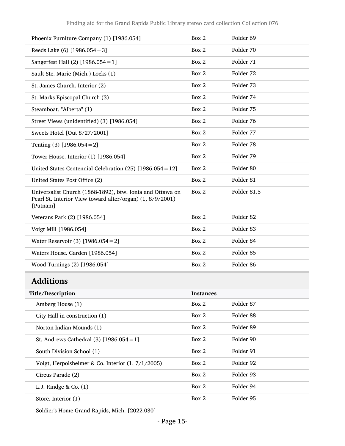| Phoenix Furniture Company (1) [1986.054]                                                                                           | Box 2            | Folder 69            |
|------------------------------------------------------------------------------------------------------------------------------------|------------------|----------------------|
| Reeds Lake $(6)$ [1986.054 = 3]                                                                                                    | Box 2            | Folder 70            |
| Sangerfest Hall (2) $[1986.054 = 1]$                                                                                               | Box 2            | Folder 71            |
| Sault Ste. Marie (Mich.) Locks (1)                                                                                                 | Box 2            | Folder <sub>72</sub> |
| St. James Church. Interior (2)                                                                                                     | Box 2            | Folder 73            |
| St. Marks Episcopal Church (3)                                                                                                     | Box 2            | Folder 74            |
| Steamboat. "Alberta" (1)                                                                                                           | Box 2            | Folder 75            |
| Street Views (unidentified) (3) [1986.054]                                                                                         | Box 2            | Folder 76            |
| Sweets Hotel [Out 8/27/2001]                                                                                                       | Box 2            | Folder 77            |
| Tenting $(3)$ [1986.054 = 2]                                                                                                       | Box 2            | Folder 78            |
| Tower House. Interior (1) [1986.054]                                                                                               | Box 2            | Folder 79            |
| United States Centennial Celebration (25) [1986.054 = 12]                                                                          | Box 2            | Folder 80            |
| United States Post Office (2)                                                                                                      | Box 2            | Folder 81            |
| Universalist Church (1868-1892), btw. Ionia and Ottawa on<br>Pearl St. Interior View toward alter/organ) (1, 8/9/2001)<br>[Putnam] | Box 2            | Folder 81.5          |
| Veterans Park (2) [1986.054]                                                                                                       | Box 2            | Folder 82            |
| Voigt Mill [1986.054]                                                                                                              | Box 2            | Folder 83            |
| Water Reservoir (3) [1986.054 = 2]                                                                                                 | Box 2            | Folder 84            |
| Waters House. Garden [1986.054]                                                                                                    | Box 2            | Folder <sub>85</sub> |
| Wood Turnings (2) [1986.054]                                                                                                       | Box 2            | Folder <sub>86</sub> |
| <b>Additions</b>                                                                                                                   |                  |                      |
| Title/Description                                                                                                                  | <b>Instances</b> |                      |
| Amberg House (1)                                                                                                                   | Box 2            | Folder 87            |
| City Hall in construction (1)                                                                                                      | Box 2            | Folder 88            |

Soldier's Home Grand Rapids, Mich. [2022.030]

<span id="page-14-0"></span>Norton Indian Mounds (1) Box 2 Folder 89

St. Andrews Cathedral (3) [1986.054 = 1] Box 2 Folder 90

South Division School (1) Box 2 Folder 91

Voigt, Herpolsheimer & Co. Interior (1, 7/1/2005) Box 2 Folder 92

Circus Parade (2) Box 2 Folder 93

L.J. Rindge & Co. (1) Box 2 Folder 94

Store. Interior (1) Box 2 Folder 95